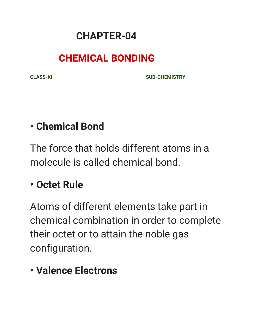#### **CHAPTER-04**

### **CHEMICAL BONDING**

**CLASS-XI SUB-CHEMISTRY**

### **• Chemical Bond**

The force that holds different atoms in a molecule is called chemical bond.

# **• Octet Rule**

Atoms of different elements take part in chemical combination in order to complete their octet or to attain the noble gas configuration.

### **• Valence Electrons**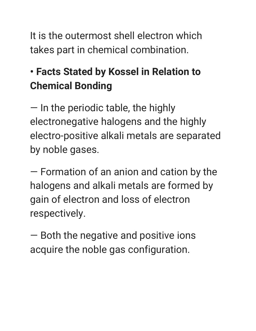It is the outermost shell electron which takes part in chemical combination.

# **• Facts Stated by Kossel in Relation to Chemical Bonding**

— In the periodic table, the highly electronegative halogens and the highly electro-positive alkali metals are separated by noble gases.

— Formation of an anion and cation by the halogens and alkali metals are formed by gain of electron and loss of electron respectively.

— Both the negative and positive ions acquire the noble gas configuration.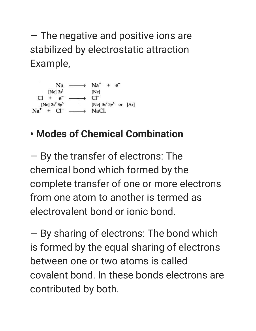— The negative and positive ions are stabilized by electrostatic attraction Example,



# **• Modes of Chemical Combination**

— By the transfer of electrons: The chemical bond which formed by the complete transfer of one or more electrons from one atom to another is termed as electrovalent bond or ionic bond.

— By sharing of electrons: The bond which is formed by the equal sharing of electrons between one or two atoms is called covalent bond. In these bonds electrons are contributed by both.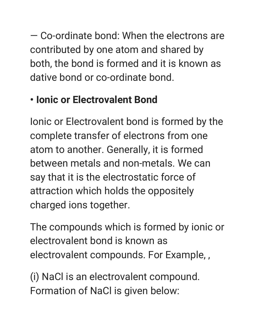— Co-ordinate bond: When the electrons are contributed by one atom and shared by both, the bond is formed and it is known as dative bond or co-ordinate bond.

# **• Ionic or Electrovalent Bond**

Ionic or Electrovalent bond is formed by the complete transfer of electrons from one atom to another. Generally, it is formed between metals and non-metals. We can say that it is the electrostatic force of attraction which holds the oppositely charged ions together.

The compounds which is formed by ionic or electrovalent bond is known as electrovalent compounds. For Example, ,

(i) NaCl is an electrovalent compound. Formation of NaCl is given below: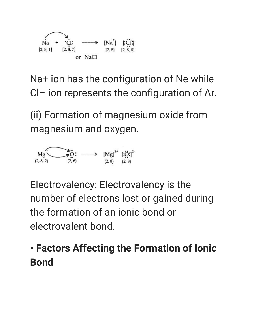

Na+ ion has the configuration of Ne while Cl– ion represents the configuration of Ar.

(ii) Formation of magnesium oxide from magnesium and oxygen.



Electrovalency: Electrovalency is the number of electrons lost or gained during the formation of an ionic bond or electrovalent bond.

# **• Factors Affecting the Formation of Ionic Bond**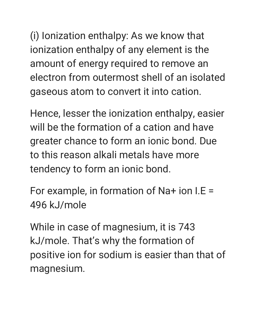(i) Ionization enthalpy: As we know that ionization enthalpy of any element is the amount of energy required to remove an electron from outermost shell of an isolated gaseous atom to convert it into cation.

Hence, lesser the ionization enthalpy, easier will be the formation of a cation and have greater chance to form an ionic bond. Due to this reason alkali metals have more tendency to form an ionic bond.

For example, in formation of Na+ ion I.E = 496 kJ/mole

While in case of magnesium, it is 743 kJ/mole. That's why the formation of positive ion for sodium is easier than that of magnesium.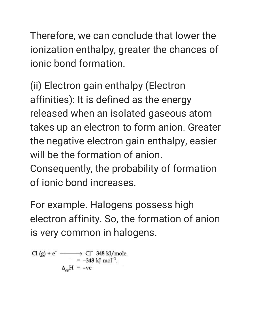Therefore, we can conclude that lower the ionization enthalpy, greater the chances of ionic bond formation.

(ii) Electron gain enthalpy (Electron affinities): It is defined as the energy released when an isolated gaseous atom takes up an electron to form anion. Greater the negative electron gain enthalpy, easier will be the formation of anion. Consequently, the probability of formation

of ionic bond increases.

For example. Halogens possess high electron affinity. So, the formation of anion is very common in halogens.

 $\Delta_{ee}H = -ve$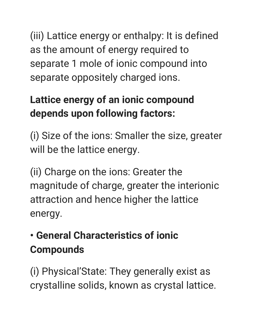(iii) Lattice energy or enthalpy: It is defined as the amount of energy required to separate 1 mole of ionic compound into separate oppositely charged ions.

# **Lattice energy of an ionic compound depends upon following factors:**

(i) Size of the ions: Smaller the size, greater will be the lattice energy.

(ii) Charge on the ions: Greater the magnitude of charge, greater the interionic attraction and hence higher the lattice energy.

# **• General Characteristics of ionic Compounds**

(i) Physical'State: They generally exist as crystalline solids, known as crystal lattice.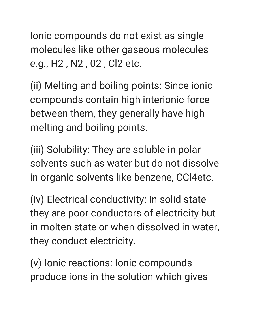Ionic compounds do not exist as single molecules like other gaseous molecules e.g., H2 , N2 , 02 , Cl2 etc.

(ii) Melting and boiling points: Since ionic compounds contain high interionic force between them, they generally have high melting and boiling points.

(iii) Solubility: They are soluble in polar solvents such as water but do not dissolve in organic solvents like benzene, CCl4etc.

(iv) Electrical conductivity: In solid state they are poor conductors of electricity but in molten state or when dissolved in water, they conduct electricity.

(v) Ionic reactions: Ionic compounds produce ions in the solution which gives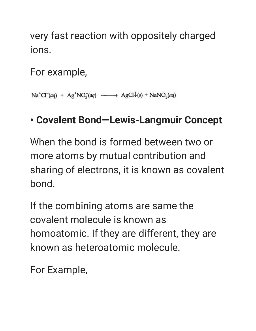very fast reaction with oppositely charged ions.

For example,

 $Na<sup>+</sup>Cl<sup>-</sup>(aq) + Ag<sup>+</sup>NO<sub>3</sub><sup>-</sup>(aq) \longrightarrow AgCl<sup>+</sup>(s) + NaNO<sub>3</sub>(aq)$ 

### **• Covalent Bond—Lewis-Langmuir Concept**

When the bond is formed between two or more atoms by mutual contribution and sharing of electrons, it is known as covalent bond.

If the combining atoms are same the covalent molecule is known as homoatomic. If they are different, they are known as heteroatomic molecule.

For Example,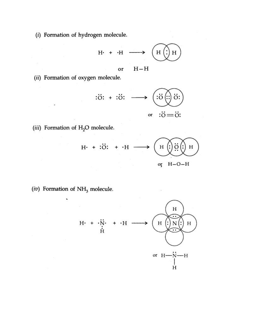(i) Formation of hydrogen molecule.

$$
H \cdot + \cdot H \longrightarrow \left(\underbrace{H \bigodot H}_{\text{H}}
$$

 $H-H$ or

(ii) Formation of oxygen molecule.

$$
\begin{array}{ccc}\n\vdots & \vdots & \longmapsto & \left(\begin{array}{c}\n\vdots & \vdots \\
\vdots & \vdots \\
\vdots & \vdots \\
\vdots & \vdots \\
\vdots & \vdots & \vdots \\
\vdots & \vdots & \vdots \\
\vdots & \vdots & \vdots \\
\vdots & \vdots & \vdots \\
\vdots & \vdots & \vdots \\
\vdots & \vdots & \vdots \\
\vdots & \vdots & \vdots \\
\vdots & \vdots & \vdots \\
\vdots & \vdots & \vdots \\
\vdots & \vdots & \vdots & \vdots \\
\vdots & \vdots & \vdots & \vdots \\
\vdots & \vdots & \vdots & \vdots \\
\vdots & \vdots & \vdots & \vdots \\
\vdots & \vdots & \vdots & \vdots \\
\vdots & \vdots & \vdots & \vdots \\
\vdots & \vdots & \vdots & \vdots \\
\vdots & \vdots & \vdots & \vdots \\
\vdots & \vdots & \vdots & \vdots \\
\vdots & \vdots & \vdots & \vdots \\
\vdots & \vdots & \vdots & \vdots \\
\vdots & \vdots & \vdots & \vdots \\
\vdots & \vdots & \vdots & \vdots \\
\vdots & \vdots & \vdots & \vdots \\
\vdots & \vdots & \vdots & \vdots \\
\vdots & \vdots & \vdots & \vdots \\
\vdots & \vdots & \vdots & \vdots \\
\vdots & \vdots & \vdots & \vdots \\
\vdots & \vdots & \vdots & \vdots \\
\vdots & \vdots & \vdots & \vdots \\
\vdots & \vdots & \vdots & \vdots \\
\vdots & \vdots & \vdots & \vdots \\
\vdots & \vdots & \vdots & \vdots \\
\vdots & \vdots & \vdots & \vdots \\
\vdots & \vdots & \vdots & \vdots \\
\vdots & \vdots & \vdots & \vdots \\
\vdots & \vdots & \vdots & \vdots \\
\vdots & \vdots & \vdots & \vdots \\
\vdots & \vdots & \vdots & \vdots \\
\vdots & \vdots & \vdots & \vdots \\
\vdots & \vdots & \vdots & \vdots \\
\vdots & \vdots & \vdots & \vdots \\
\vdots & \vdots & \vdots & \vdots \\
\vdots & \vdots & \vdots & \vdots \\
\vdots & \vdots & \vdots & \vdots \\
\vdots & \vdots & \vdots & \vdots \\
\vdots & \vdots & \vdots & \
$$

(iii) Formation of H<sub>2</sub>O molecule.



(iv) Formation of  $\mathrm{NH}_3$  molecule.

 $\overline{\phantom{0}}$ 

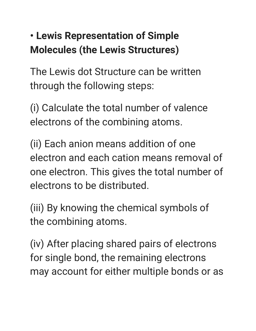# **• Lewis Representation of Simple Molecules (the Lewis Structures)**

The Lewis dot Structure can be written through the following steps:

(i) Calculate the total number of valence electrons of the combining atoms.

(ii) Each anion means addition of one electron and each cation means removal of one electron. This gives the total number of electrons to be distributed.

(iii) By knowing the chemical symbols of the combining atoms.

(iv) After placing shared pairs of electrons for single bond, the remaining electrons may account for either multiple bonds or as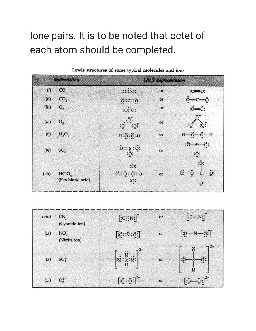# lone pairs. It is to be noted that octet of each atom should be completed.

|       | <b>Molecule/Ion</b>                    |                                               | <b>Lewis Representation</b> |                                                |
|-------|----------------------------------------|-----------------------------------------------|-----------------------------|------------------------------------------------|
| (i)   | CO                                     | $: \dotsc$ : $\dotsc$                         | or                          | $: \equiv 0:$                                  |
| (ii)  | CO <sub>2</sub>                        | 0::c::0                                       | or                          | $0 = C = 0$                                    |
| (iii) | O <sub>2</sub>                         | $: \overline{o}$ : $\overline{o}$ :           | or                          | $\ddot{\circ} = \ddot{\circ}$ :                |
| (iv)  | O <sub>3</sub>                         | $\ddot{\mathbf{e}}$<br>: 2:                   | or                          | :о:                                            |
| (v)   | $H_2O_2$                               | $H:\stackrel{.}{\odot}:\stackrel{.}{\odot}:H$ | or                          |                                                |
| (vi)  | SO <sub>3</sub>                        | :0:5:0:<br>: 0:                               | or                          | ö:<br>:0:                                      |
| (vii) | HCIO <sub>4</sub><br>(Perchloric acid) | :ö:<br>$\ddot{H}$ : Ö: Ö: Ö:<br>$:Q$ :        | or                          | $\ddot{\circ}$ :<br>H:<br>o:<br>$\ddot{\cdot}$ |

Lewis structures of some typical molecules and ions

| (viii)  | $CN^-$<br>(Cyanide ion)          | [:C::N                                                                            | or | $: C \equiv N:$                                                      |
|---------|----------------------------------|-----------------------------------------------------------------------------------|----|----------------------------------------------------------------------|
| (ix)    | NO <sub>2</sub><br>(Nitrite ion) | $[\ddot{\ddot{\Omega}} :: \ddot{\text{N}} : \ddot{\Omega} :]$                     | or | $\overline{\overline{\text{io}}\text{m}}\overline{\text{N}}\text{m}$ |
| (x)     | $SO_4^{2-}$                      | $\left[ \begin{smallmatrix} .&0&.&0\ .&0&.&0\ .&0&.&0\ \end{smallmatrix} \right]$ | or | $\rightarrow$<br>$\ddot{\mathrm{o}}$<br>$\bullet$                    |
| $(x_i)$ | $O_2^{2-7}$                      | $\left[ \ddot{0} \ddot{0} \ddot{0} \ddot{0} \right]^{2-}$                         | or |                                                                      |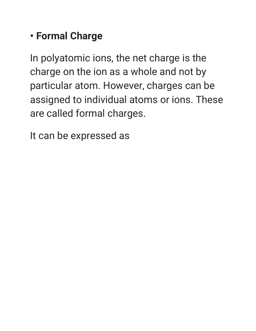### **• Formal Charge**

In polyatomic ions, the net charge is the charge on the ion as a whole and not by particular atom. However, charges can be assigned to individual atoms or ions. These are called formal charges.

It can be expressed as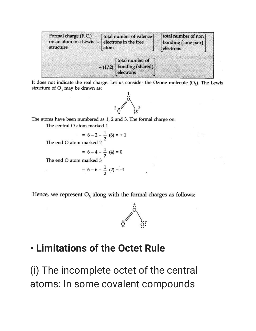| Formal charge (F.C.)<br>on an atom in a Lewis $=$ electrons in the free<br>structure | total number of valence<br>atom |                                     | [total number of non]<br>bonding (lone pair)<br>electrons |  |
|--------------------------------------------------------------------------------------|---------------------------------|-------------------------------------|-----------------------------------------------------------|--|
|                                                                                      | $-(1/2)$                        | total number of<br>bonding (shared) |                                                           |  |

It does not indicate the real charge. Let us consider the Ozone molecule  $(O_3)$ . The Lewis structure of  $O_3$  may be drawn as:



The atoms have been numbered as 1, 2 and 3. The formal charge on:

The central O atom marked 1

$$
= 6 - 2 - \frac{1}{2} (6) = +1
$$
  
The end O atom marked 2

$$
= 6 - 4 - \frac{1}{2} (4) = 0
$$

The end O atom marked 3

 $= 6 - 6 - \frac{1}{2} (2) = -1$ 

Hence, we represent  $O_3$  along with the formal charges as follows:



#### **• Limitations of the Octet Rule**

(i) The incomplete octet of the central atoms: In some covalent compounds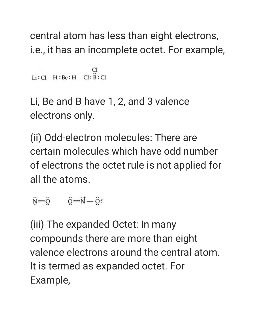central atom has less than eight electrons, i.e., it has an incomplete octet. For example,

```
Li:Cl H:Be:H Cl: B:Cl
```
Li, Be and B have 1, 2, and 3 valence electrons only.

(ii) Odd-electron molecules: There are certain molecules which have odd number of electrons the octet rule is not applied for all the atoms.

 $\ddot{N} = \ddot{Q}$   $\ddot{Q} = \dot{N} - \ddot{Q}$ 

(iii) The expanded Octet: In many compounds there are more than eight valence electrons around the central atom. It is termed as expanded octet. For Example,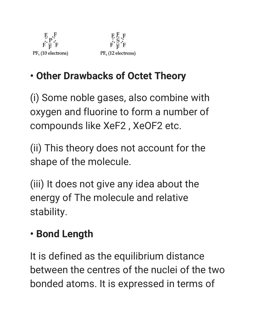

 $\begin{array}{l} \mathbf{F} \ \mathbf{F} \ \mathbf{S} \ \mathbf{F} \\ \mathbf{F} \ \mathbf{F} \ \mathbf{F} \end{array}$ PF<sub>6</sub> (12 electrons)

# **• Other Drawbacks of Octet Theory**

(i) Some noble gases, also combine with oxygen and fluorine to form a number of compounds like XeF2 , XeOF2 etc.

(ii) This theory does not account for the shape of the molecule.

(iii) It does not give any idea about the energy of The molecule and relative stability.

# **• Bond Length**

It is defined as the equilibrium distance between the centres of the nuclei of the two bonded atoms. It is expressed in terms of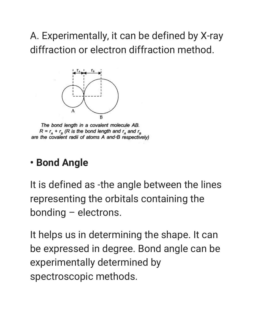A. Experimentally, it can be defined by X-ray diffraction or electron diffraction method.



The bond length in a covalent molecule AB.  $R = r_A + r_B$  (R is the bond length and  $r_A$  and  $r_B$ are the covalent radii of atoms A and B respectively)

### **• Bond Angle**

It is defined as -the angle between the lines representing the orbitals containing the bonding – electrons.

It helps us in determining the shape. It can be expressed in degree. Bond angle can be experimentally determined by spectroscopic methods.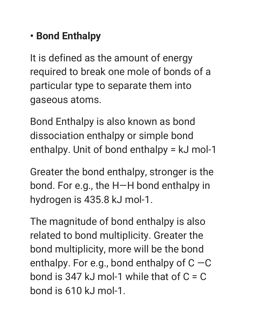# **• Bond Enthalpy**

It is defined as the amount of energy required to break one mole of bonds of a particular type to separate them into gaseous atoms.

Bond Enthalpy is also known as bond dissociation enthalpy or simple bond enthalpy. Unit of bond enthalpy = kJ mol-1

Greater the bond enthalpy, stronger is the bond. For e.g., the H—H bond enthalpy in hydrogen is 435.8 kJ mol-1.

The magnitude of bond enthalpy is also related to bond multiplicity. Greater the bond multiplicity, more will be the bond enthalpy. For e.g., bond enthalpy of  $C - C$ bond is 347 kJ mol-1 while that of  $C = C$ bond is 610 kJ mol-1.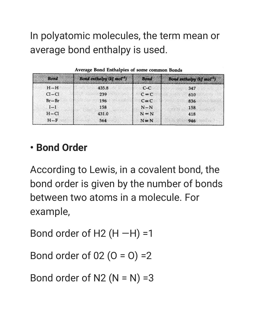In polyatomic molecules, the term mean or average bond enthalpy is used.

| <b>Bond</b> | Bond enthalpy (kJ mol <sup>-1</sup> ) | <b>Bond</b>  | Bond enthalpy (k] mol <sup>-1</sup> ) |
|-------------|---------------------------------------|--------------|---------------------------------------|
| $H - H$     | 435.8                                 | $C-C$        | 347                                   |
| $Cl - Cl$   | 239                                   | $C = C$      | 610                                   |
| $Br - Br$   | 196                                   | $C \equiv C$ | 836                                   |
| $I-I$       | 158                                   | $N-N$        | 158                                   |
| $H - Cl$    | 431.0                                 | $N = N$      | 418                                   |
| $H-F$       | 564                                   | $N \equiv N$ | 946                                   |

### **• Bond Order**

According to Lewis, in a covalent bond, the bond order is given by the number of bonds between two atoms in a molecule. For example,

Bond order of H2  $(H - H) = 1$ 

Bond order of  $02 (0 = 0) = 2$ 

Bond order of  $N2$  ( $N = N$ ) =3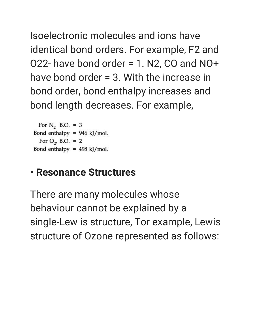Isoelectronic molecules and ions have identical bond orders. For example, F2 and O22- have bond order = 1. N2, CO and NO+ have bond order = 3. With the increase in bond order, bond enthalpy increases and bond length decreases. For example,

For  $N_2$  B.O. = 3 Bond enthalpy =  $946$  kJ/mol. For  $O_{2}$ , B.O. = 2 Bond enthalpy =  $498$  kJ/mol.

#### **• Resonance Structures**

There are many molecules whose behaviour cannot be explained by a single-Lew is structure, Tor example, Lewis structure of Ozone represented as follows: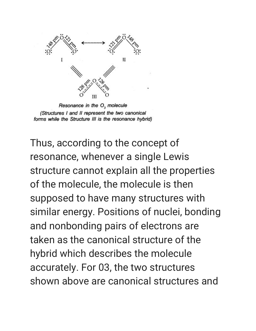

Resonance in the O<sub>3</sub> molecule (Structures I and II represent the two canonical forms while the Structure III is the resonance hybrid)

Thus, according to the concept of resonance, whenever a single Lewis structure cannot explain all the properties of the molecule, the molecule is then supposed to have many structures with similar energy. Positions of nuclei, bonding and nonbonding pairs of electrons are taken as the canonical structure of the hybrid which describes the molecule accurately. For 03, the two structures shown above are canonical structures and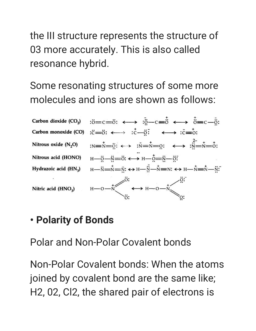the III structure represents the structure of 03 more accurately. This is also called resonance hybrid.

Some resonating structures of some more molecules and ions are shown as follows:

 $\cdot \ddot{\circ} = c = \ddot{\circ} \cdot \leftrightarrow \cdot \ddot{\circ} - c = \ddot{\circ} \leftrightarrow \dot{\circ} = c - \ddot{\circ}$ Carbon dioxide (CO<sub>2</sub>) Carbon monoxide (CO) : $\vec{c}$  =  $\vec{o}$ :  $\longleftrightarrow$  : $\vec{c}$  -  $\vec{o}$ :  $\longleftrightarrow$  : $\vec{c}$  =  $\vec{o}$ :  $:N=\stackrel{+}{\scriptstyle{N=-\ddot{\Omega}}}\stackrel{+}{\scriptstyle{\Omega}}\leftarrow$   $:N=\stackrel{+}{\scriptstyle{N=-\ddot{\Omega}}}\stackrel{+}{\scriptstyle{\Omega}}\leftarrow$   $\stackrel{2}{\scriptstyle{N=-\ddot{\Omega}}}\stackrel{+}{\scriptstyle{N=-\ddot{\Omega}}}\stackrel{+}{\scriptstyle{\Omega}}}$ Nitrous oxide  $(N, O)$  $H \rightarrow \stackrel{\circ}{\circ} \rightarrow H \rightarrow H \rightarrow \stackrel{\circ}{\circ} = N \rightarrow \stackrel{\circ}{\circ}$ Nitrous acid (HONO)  $H \longrightarrow N \longrightarrow N \longrightarrow N$ :  $\leftrightarrow H \longrightarrow N \longrightarrow N \longrightarrow N \longrightarrow N \longrightarrow N \longrightarrow N \longrightarrow N \longrightarrow N$ Hydrazoic acid  $(HN_3)$  $H \rightarrow O \rightarrow \stackrel{+}{\sqrt{\qquad}} \stackrel{\circ}{\leftrightarrow} H \rightarrow O \rightarrow \stackrel{+}{\sqrt{\qquad}} \stackrel{\circ}{\circ}$ Nitric acid (HNO<sub>2</sub>)

### **• Polarity of Bonds**

Polar and Non-Polar Covalent bonds

Non-Polar Covalent bonds: When the atoms joined by covalent bond are the same like; H2, 02, Cl2, the shared pair of electrons is